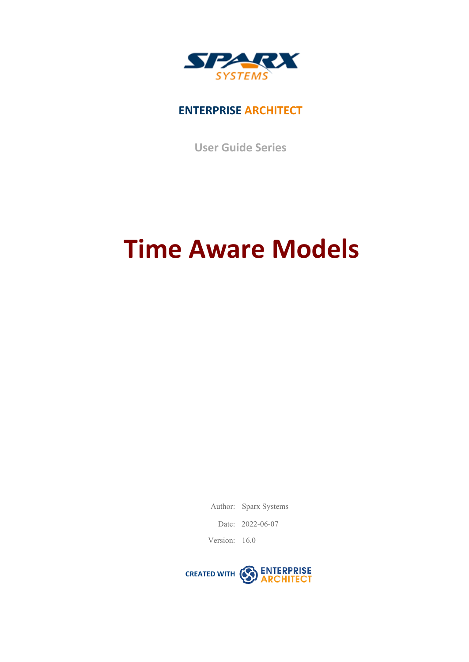

### **ENTERPRISE ARCHITECT**

**User Guide Series**

# **Time Aware Models**

Author: Sparx Systems

Date: 2022-06-07

Version: 16.0

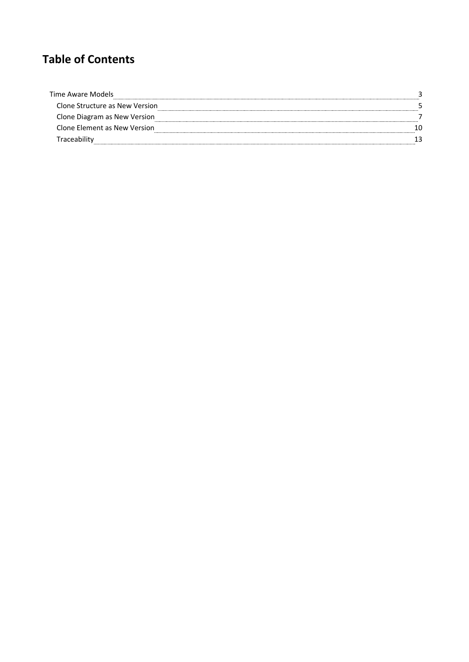### **Table of Contents**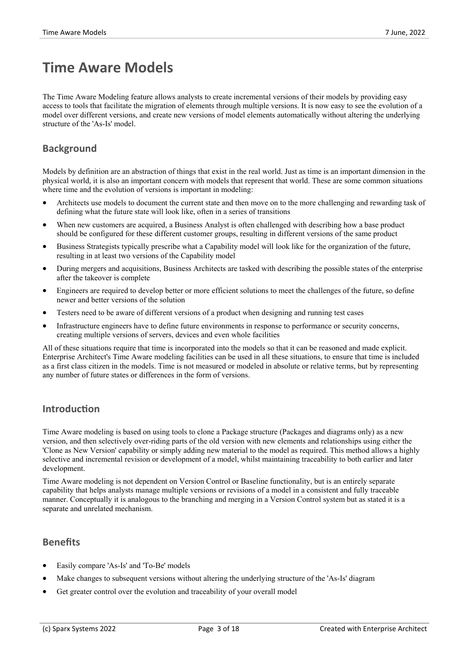### **Time Aware Models**

The Time Aware Modeling feature allows analysts to create incremental versions oftheir models by providing easy access to tools that facilitate the migration of elements through multiple versions. It is now easy to see the evolution of a model over different versions, and create new versions of model elements automatically without altering the underlying structure of the 'As-Is' model.

#### **Background**

Models by definition are an abstraction of things that exist in the real world. Just as time is an important dimension in the physical world, it is also an important concern with models that represent that world. These are some common situations where time and the evolution of versions is important in modeling:

- · Architects use models to document the current state and then move on to the more challenging and rewarding task of defining what the future state will look like, often in a series of transitions
- When new customers are acquired, a Business Analyst is often challenged with describing how a base product should be configured for these different customer groups, resulting in different versions of the same product
- · Business Strategists typically prescribe what a Capability model will look like forthe organization of the future, resulting in at least two versions of the Capability model
- · During mergers and acquisitions, Business Architects are tasked with describing the possible states ofthe enterprise after the takeover is complete
- Engineers are required to develop better or more efficient solutions to meet the challenges of the future, so define newer and better versions of the solution
- Testers need to be aware of different versions of a product when designing and running test cases
- Infrastructure engineers have to define future environments in response to performance or security concerns, creating multiple versions of servers, devices and even whole facilities

All of these situations require that time is incorporated into the models so that it can be reasoned and made explicit. Enterprise Architect's Time Aware modeling facilities can be used in all these situations, to ensure that time is included as a first class citizen in the models. Time is not measured or modeled in absolute or relative terms, but by representing any number of future states or differences in the form of versions.

#### **Introduction**

Time Aware modeling is based on using tools to clone a Package structure (Packages and diagrams only) as a new version, and then selectively over-riding parts of the old version with new elements and relationships using either the 'Clone as New Version' capability or simply adding new material to the model as required. This method allows a highly selective and incremental revision or development of a model, whilst maintaining traceability to both earlier and later development.

Time Aware modeling is not dependent on Version Control or Baseline functionality, but is an entirely separate capability that helps analysts manage multiple versions or revisions of a model in a consistent and fully traceable manner. Conceptually it is analogous to the branching and merging in a Version Control system but as stated it is a separate and unrelated mechanism.

#### **Benefits**

- Easily compare 'As-Is' and 'To-Be' models
- Make changes to subsequent versions without altering the underlying structure of the 'As-Is' diagram
- Get greater control over the evolution and traceability of your overall model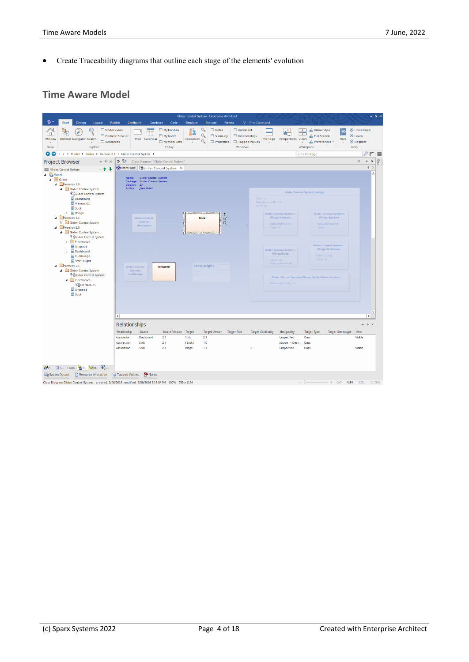· Create Traceability diagrams that outline each stage of the elements' evolution

#### **Time Aware Model**



.<br>Class Diagram:Glider Control System: created: 2/06/2016 modified: 2/06/2016 3:16:04 PM 100% 799 x 1134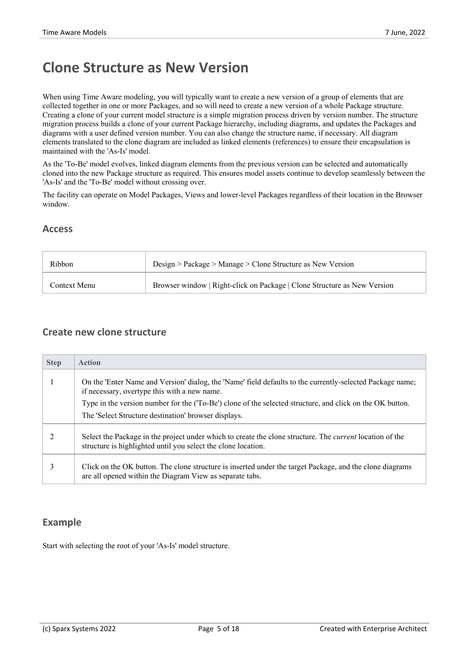## **Clone Structure as New Version**

When using Time Aware modeling, you will typically want to create a new version of a group of elements that are collected together in one or more Packages, and so will need to create a new version of a whole Package structure. Creating a clone of your current model structure is a simple migration process driven by version number. The structure migration process builds a clone of your current Package hierarchy, including diagrams, and updates the Packages and diagrams with a user defined version number. You can also change the structure name, if necessary. All diagram elements translated to the clone diagram are included as linked elements (references) to ensure their encapsulation is maintained with the 'As-Is' model.

As the 'To-Be' model evolves, linked diagram elements from the previous version can be selected and automatically cloned into the new Package structure asrequired. This ensures model assets continue to develop seamlessly between the 'As-Is' and the 'To-Be' model without crossing over.

The facility can operate on Model Packages, Views and lower-level Packages regardless oftheir location in the Browser window.

#### **Access**

| Ribbon       | $Design > Package > Manager > Cone$ Structure as New Version             |
|--------------|--------------------------------------------------------------------------|
| Context Menu | Browser window   Right-click on Package   Clone Structure as New Version |

#### **Create new clone structure**

| <b>Step</b> | <b>Action</b>                                                                                                                                                                    |
|-------------|----------------------------------------------------------------------------------------------------------------------------------------------------------------------------------|
|             | On the 'Enter Name and Version' dialog, the 'Name' field defaults to the currently-selected Package name;<br>if necessary, overtype this with a new name.                        |
|             | Type in the version number for the ('To-Be') clone of the selected structure, and click on the OK button.                                                                        |
|             | The 'Select Structure destination' browser displays.                                                                                                                             |
|             | Select the Package in the project under which to create the clone structure. The <i>current</i> location of the<br>structure is highlighted until you select the clone location. |
|             | Click on the OK button. The clone structure is inserted under the target Package, and the clone diagrams<br>are all opened within the Diagram View as separate tabs.             |

#### **Example**

Start with selecting the root of your 'As-Is' model structure.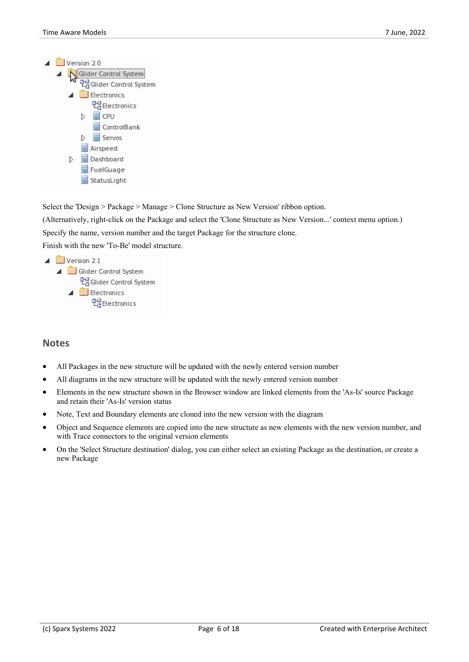

Select the 'Design > Package > Manage > Clone Structure as New Version' ribbon option.

(Alternatively, right-click on the Package and select the 'Clone Structure as New Version...' context menu option.) Specify the name, version number and the target Package for the structure clone.

Finish with the new 'To-Be' model structure.



#### **Notes**

- All Packages in the new structure will be updated with the newly entered version number
- · All diagrams in the new structure will be updated with the newly entered version number
- Elements in the new structure shown in the Browser window are linked elements from the 'As-Is' source Package and retain their 'As-Is' version status
- Note, Text and Boundary elements are cloned into the new version with the diagram
- · Object and Sequence elements are copied into the new structure as new elements with the new version number, and with Trace connectors to the original version elements
- · On the 'Select Structure destination' dialog, you can either select an existing Package as the destination, or create a new Package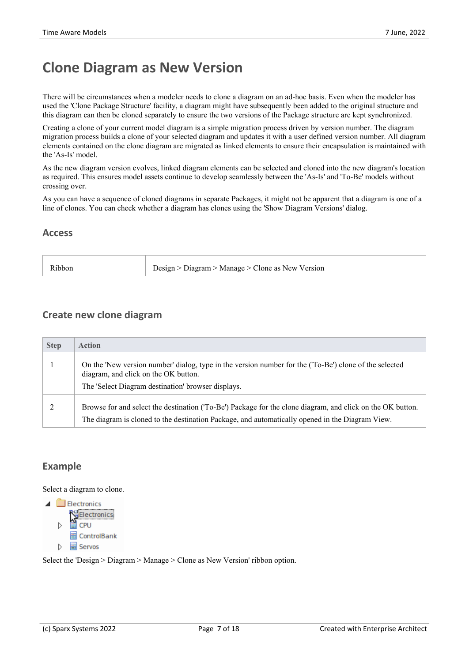### **Clone Diagram as New Version**

There will be circumstances when a modeler needs to clone a diagram on an ad-hoc basis. Even when the modeler has used the 'Clone Package Structure' facility, a diagram might have subsequently been added to the original structure and this diagram can then be cloned separately to ensure the two versions ofthe Package structure are kept synchronized.

Creating a clone of your current model diagram is a simple migration process driven by version number. The diagram migration process builds a clone of your selected diagram and updates it with a user defined version number. All diagram elements contained on the clone diagram are migrated as linked elements to ensure their encapsulation is maintained with the 'As-Is' model.

As the new diagram version evolves, linked diagram elements can be selected and cloned into the new diagram's location as required. This ensures model assets continue to develop seamlessly between the 'As-Is' and 'To-Be' models without crossing over.

As you can have a sequence of cloned diagrams in separate Packages, it might not be apparent that a diagram is one of a line of clones. You can check whether a diagram has clones using the 'Show Diagram Versions' dialog.

#### **Access**

| Design > Diagram > Manage > Clone as New Version<br>Ribbon |  |
|------------------------------------------------------------|--|
|------------------------------------------------------------|--|

#### **Create new clone diagram**

| <b>Step</b> | <b>Action</b>                                                                                                                                                                                                |
|-------------|--------------------------------------------------------------------------------------------------------------------------------------------------------------------------------------------------------------|
|             | On the 'New version number' dialog, type in the version number for the ('To-Be') clone of the selected<br>diagram, and click on the OK button.<br>The 'Select Diagram destination' browser displays.         |
|             | Browse for and select the destination (To-Be') Package for the clone diagram, and click on the OK button.<br>The diagram is cloned to the destination Package, and automatically opened in the Diagram View. |

#### **Example**

Select a diagram to clone.



Select the 'Design > Diagram > Manage > Clone as New Version' ribbon option.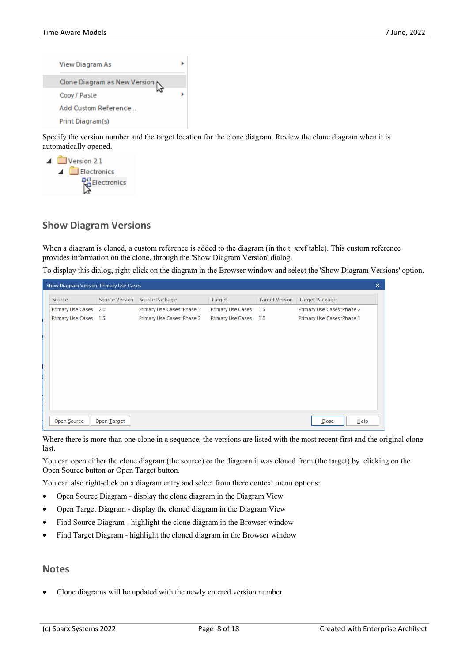| View Diagram As               |  |
|-------------------------------|--|
| Clone Diagram as New Version. |  |
| Copy / Paste                  |  |
| Add Custom Reference          |  |
| Print Diagram(s)              |  |

Specify the version number and the target location for the clone diagram. Review the clone diagram when it is automatically opened.

| ◢ | Version 2.1             |
|---|-------------------------|
|   | $\Box$ Electronics<br>◢ |
|   | <b>PH</b> Electronics   |
|   |                         |

#### **Show Diagram Versions**

When a diagram is cloned, a custom reference is added to the diagram (in the t\_xref table). This custom reference provides information on the clone, through the 'Show Diagram Version' dialog.

To display this dialog, right-click on the diagram in the Browser window and select the 'Show Diagram Versions' option.

| Show Diagram Version: Primary Use Cases |                |                             |                       |                       |                             | × |
|-----------------------------------------|----------------|-----------------------------|-----------------------|-----------------------|-----------------------------|---|
| Source                                  | Source Version | Source Package              | Target                | <b>Target Version</b> | Target Package              |   |
| Primary Use Cases 2.0                   |                | Primary Use Cases:: Phase 3 | Primary Use Cases 1.5 |                       | Primary Use Cases::Phase 2  |   |
| Primary Use Cases 1.5                   |                | Primary Use Cases::Phase 2  | Primary Use Cases 1.0 |                       | Primary Use Cases:: Phase 1 |   |
|                                         |                |                             |                       |                       |                             |   |
|                                         |                |                             |                       |                       |                             |   |
|                                         |                |                             |                       |                       |                             |   |
|                                         |                |                             |                       |                       |                             |   |
|                                         |                |                             |                       |                       |                             |   |
|                                         |                |                             |                       |                       |                             |   |
|                                         |                |                             |                       |                       |                             |   |
|                                         |                |                             |                       |                       |                             |   |
|                                         |                |                             |                       |                       |                             |   |
|                                         |                |                             |                       |                       |                             |   |
| Open Source                             | Open Target    |                             |                       |                       | Close<br>He                 |   |

Where there is more than one clone in a sequence, the versions are listed with the most recent first and the original clone last.

You can open either the clone diagram (the source) or the diagram it was cloned from (the target) by clicking on the Open Source button or Open Target button.

You can also right-click on a diagram entry and select from there context menu options:

- · Open Source Diagram display the clone diagram in the Diagram View
- · Open Target Diagram display the cloned diagram in the Diagram View
- Find Source Diagram highlight the clone diagram in the Browser window
- Find Target Diagram highlight the cloned diagram in the Browser window

#### **Notes**

Clone diagrams will be updated with the newly entered version number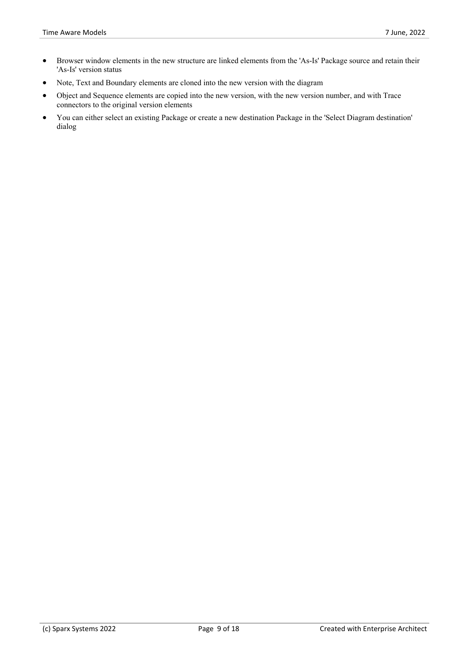- Browser window elements in the new structure are linked elements from the 'As-Is' Package source and retain their 'As-Is' version status
- Note, Text and Boundary elements are cloned into the new version with the diagram
- · Object and Sequence elements are copied into the new version, with the new version number, and with Trace connectors to the original version elements
- · You can either select an existing Package or create a new destination Package in the 'Select Diagram destination' dialog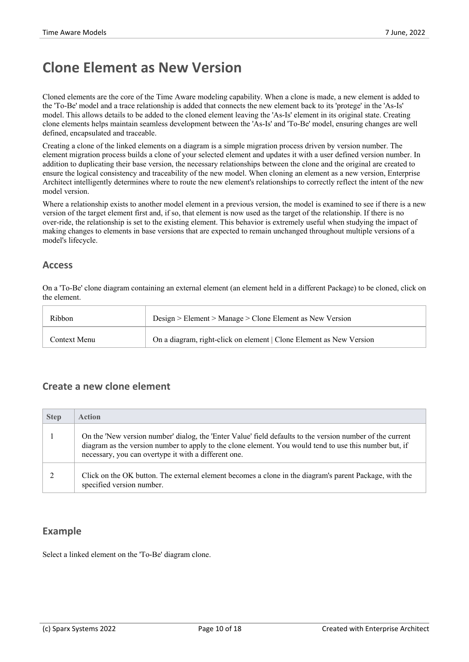# **Clone Element as New Version**

Cloned elements are the core of the Time Aware modeling capability. When a clone is made, a new element is added to the 'To-Be' model and a trace relationship is added that connects the new element back to its 'protege' in the 'As-Is' model. This allows details to be added to the cloned element leaving the 'As-Is' element in its original state. Creating clone elements helps maintain seamless development between the 'As-Is' and 'To-Be' model, ensuring changes are well defined, encapsulated and traceable.

Creating a clone of the linked elements on a diagram is a simple migration process driven by version number. The element migration process builds a clone of your selected element and updates it with a user defined version number. In addition to duplicating their base version, the necessary relationships between the clone and the original are created to ensure the logical consistency and traceability of the new model. When cloning an element as a new version, Enterprise Architect intelligently determines where to route the new element's relationships to correctly reflect the intent of the new model version.

Where a relationship exists to another model element in a previous version, the model is examined to see if there is a new version of the target element first and, if so, that element is now used as the target of the relationship. If there is no over-ride, the relationship is set to the existing element. This behavior is extremely useful when studying the impact of making changes to elements in base versions that are expected to remain unchanged throughout multiple versions of a model's lifecycle.

#### **Access**

On a 'To-Be' clone diagram containing an external element (an element held in a different Package) to be cloned, click on the element.

| Ribbon       | $Design > Element > Manager > Cone$ Element as New Version          |
|--------------|---------------------------------------------------------------------|
| Context Menu | On a diagram, right-click on element   Clone Element as New Version |

#### **Create a new clone element**

| <b>Step</b>   | <b>Action</b>                                                                                                                                                                                                                                                               |
|---------------|-----------------------------------------------------------------------------------------------------------------------------------------------------------------------------------------------------------------------------------------------------------------------------|
|               | On the 'New version number' dialog, the 'Enter Value' field defaults to the version number of the current<br>diagram as the version number to apply to the clone element. You would tend to use this number but, if<br>necessary, you can overtype it with a different one. |
| $\mathcal{L}$ | Click on the OK button. The external element becomes a clone in the diagram's parent Package, with the<br>specified version number.                                                                                                                                         |

#### **Example**

Select a linked element on the 'To-Be' diagram clone.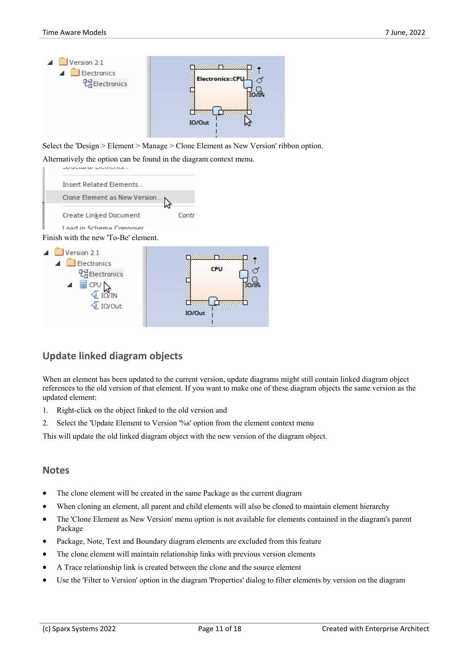

Select the 'Design > Element > Manage > Clone Element as New Version' ribbon option.

Alternatively the option can be found in the diagram context menu.



#### **Update linked diagram objects**

When an element has been updated to the current version, update diagrams might still contain linked diagram object references to the old version of that element. If you want to make one of these diagram objects the same version as the updated element:

- 1. Right-click on the object linked to the old version and
- 2. Select the 'Update Element to Version '%s' option from the element context menu

This will update the old linked diagram object with the new version of the diagram object.

#### **Notes**

- The clone element will be created in the same Package as the current diagram
- When cloning an element, all parent and child elements will also be cloned to maintain element hierarchy
- The 'Clone Element as New Version' menu option is not available for elements contained in the diagram's parent Package
- Package, Note, Text and Boundary diagram elements are excluded from this feature
- The clone element will maintain relationship links with previous version elements
- A Trace relationship link is created between the clone and the source element
- Use the 'Filter to Version' option in the diagram 'Properties' dialog to filter elements by version on the diagram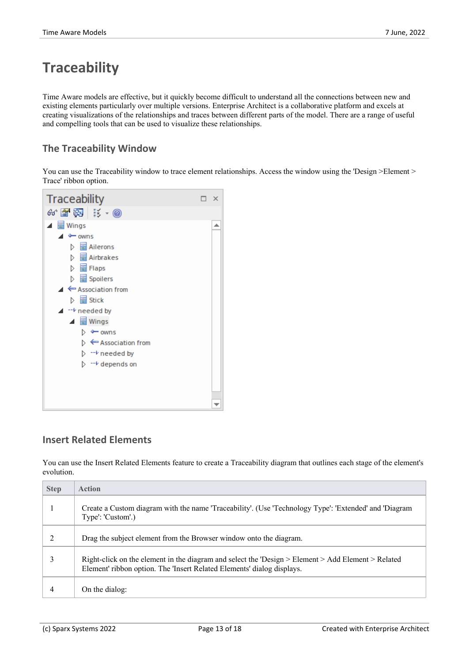# **Traceability**

Time Aware models are effective, but it quickly become difficult to understand all the connections between new and existing elements particularly over multiple versions. Enterprise Architect is a collaborative platform and excels at creating visualizations of the relationships and traces between different parts of the model. There are a range of useful and compelling tools that can be used to visualize these relationships.

#### **The Traceability Window**

You can use the Traceability window to trace element relationships. Access the window using the 'Design >Element > Trace' ribbon option.



#### **Insert Related Elements**

You can use the Insert Related Elements feature to create a Traceability diagram that outlines each stage of the element's evolution.

| <b>Step</b> | <b>Action</b>                                                                                                                                                                |
|-------------|------------------------------------------------------------------------------------------------------------------------------------------------------------------------------|
|             | Create a Custom diagram with the name 'Traceability'. (Use 'Technology Type': 'Extended' and 'Diagram<br>Type': 'Custom'.)                                                   |
|             | Drag the subject element from the Browser window onto the diagram.                                                                                                           |
|             | Right-click on the element in the diagram and select the 'Design > Element > Add Element > Related<br>Element' ribbon option. The 'Insert Related Elements' dialog displays. |
| 4           | On the dialog:                                                                                                                                                               |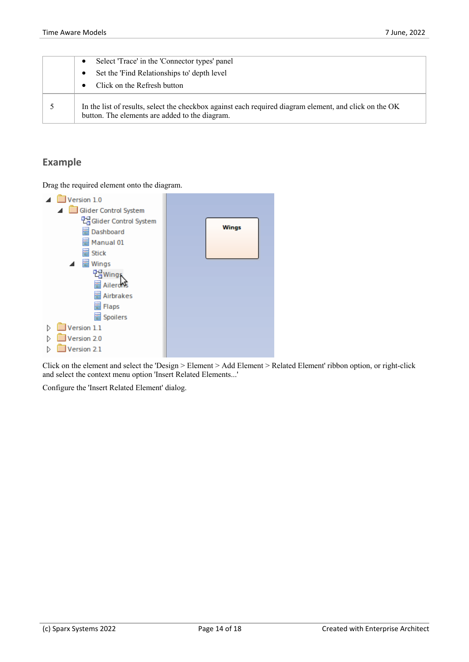| Select 'Trace' in the 'Connector types' panel                                                                                                            |
|----------------------------------------------------------------------------------------------------------------------------------------------------------|
| Set the 'Find Relationships to' depth level                                                                                                              |
| Click on the Refresh button                                                                                                                              |
| In the list of results, select the checkbox against each required diagram element, and click on the OK<br>button. The elements are added to the diagram. |

#### **Example**

Drag the required element onto the diagram.



Click on the element and select the 'Design > Element > Add Element > Related Element' ribbon option, or right-click and select the context menu option 'Insert Related Elements...'

Configure the 'Insert Related Element' dialog.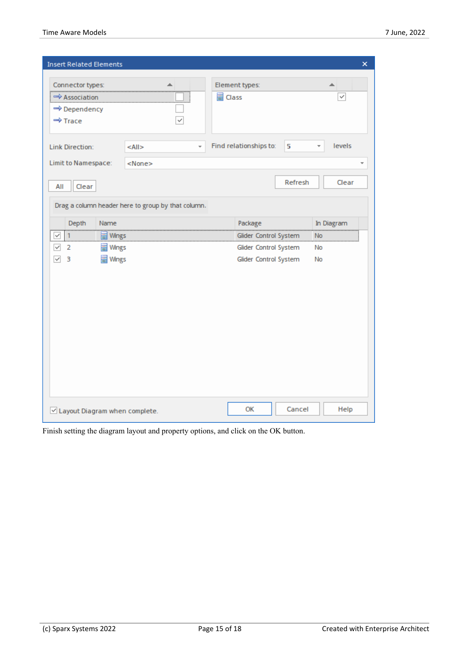| <b>Insert Related Elements</b>                                           |                                                          |                                                                         |         | ×                                  |
|--------------------------------------------------------------------------|----------------------------------------------------------|-------------------------------------------------------------------------|---------|------------------------------------|
| Connector types:<br>→ Association<br>→ Dependency<br>$\Rightarrow$ Trace | ✓                                                        | Element types:<br>he Class                                              |         | ✓                                  |
| <b>Link Direction:</b><br>Limit to Namespace:                            | $<$ All $>$<br>$\overline{\phantom{a}}$<br><none></none> | Find relationships to:                                                  | 5       | levels<br>$\overline{\phantom{a}}$ |
| All<br>Clear                                                             |                                                          |                                                                         | Refresh | Clear                              |
| Depth<br>Name                                                            | Drag a column header here to group by that column.       | Package                                                                 |         | In Diagram<br>                     |
| Wings<br>✓<br>畐<br>✓<br>2<br>Wings<br>畐<br>Wings<br>✓<br>3<br>畐          |                                                          | Glider Control System<br>Glider Control System<br>Glider Control System |         | No<br>No<br>No                     |
|                                                                          |                                                          |                                                                         |         |                                    |
|                                                                          |                                                          |                                                                         |         |                                    |
|                                                                          |                                                          |                                                                         |         |                                    |
| √ Layout Diagram when complete.                                          |                                                          | OK                                                                      | Cancel  | Help                               |

Finish setting the diagram layout and property options, and click on the OK button.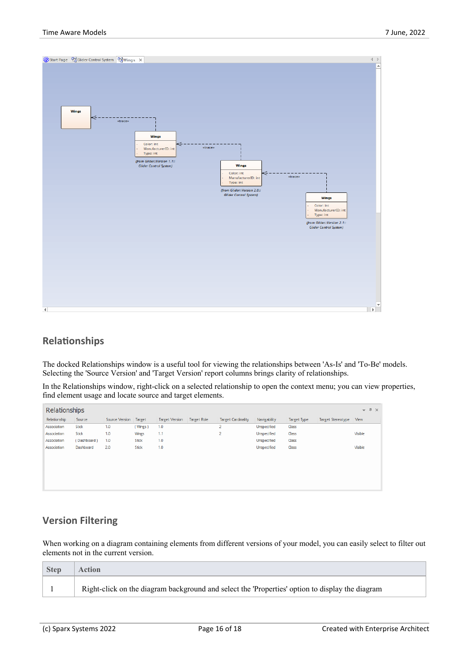

#### **Relationships**

The docked Relationships window is a useful tool for viewing the relationships between 'As-Is' and 'To-Be' models. Selecting the 'Source Version' and 'Target Version' report columns brings clarity of relationships.

In the Relationships window, right-click on a selected relationship to open the context menu; you can view properties, find element usage and locate source and target elements.

| Relationships |              |                |              |                       |                    |                           | $-4 \times$  |                    |                          |         |
|---------------|--------------|----------------|--------------|-----------------------|--------------------|---------------------------|--------------|--------------------|--------------------------|---------|
| Relationship  | Source       | Source Version | Target       | <b>Target Version</b> | <b>Target Role</b> | <b>Target Cardinality</b> | Navigability | <b>Target Type</b> | <b>Target Stereotype</b> | View    |
| Association   | <b>Stick</b> | 1.0            | (Wings)      | 1.0                   |                    | $\overline{2}$            | Unspecified  | Class              |                          |         |
| Association   | <b>Stick</b> | 1.0            | Wings        | 1.1                   |                    | $\overline{2}$            | Unspecified  | Class              |                          | Visible |
| Association   | (Dashboard)  | 1.0            | <b>Stick</b> | 1.0                   |                    |                           | Unspecified  | Class              |                          |         |
| Association   | Dashboard    | 2.0            | <b>Stick</b> | 1.0                   |                    |                           | Unspecified  | Class              |                          | Visible |
|               |              |                |              |                       |                    |                           |              |                    |                          |         |
|               |              |                |              |                       |                    |                           |              |                    |                          |         |
|               |              |                |              |                       |                    |                           |              |                    |                          |         |
|               |              |                |              |                       |                    |                           |              |                    |                          |         |
|               |              |                |              |                       |                    |                           |              |                    |                          |         |
|               |              |                |              |                       |                    |                           |              |                    |                          |         |
|               |              |                |              |                       |                    |                           |              |                    |                          |         |

#### **Version Filtering**

When working on a diagram containing elements from different versions of your model, you can easily select to filter out elements not in the current version.

| <b>Step</b> | ction                                                                                           |
|-------------|-------------------------------------------------------------------------------------------------|
|             | Right-click on the diagram background and select the 'Properties' option to display the diagram |